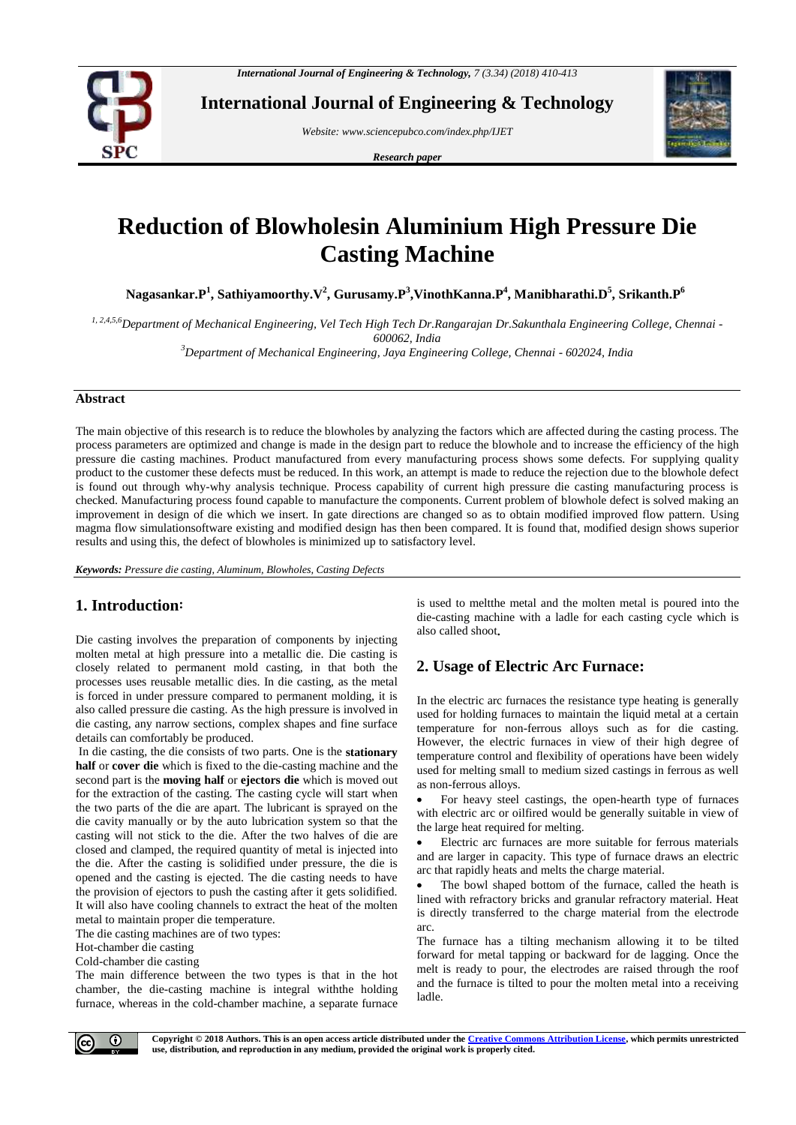

**International Journal of Engineering & Technology**

*Website: www.sciencepubco.com/index.php/IJET*

*Research paper*



# **Reduction of Blowholesin Aluminium High Pressure Die Casting Machine**

**Nagasankar.P<sup>1</sup> , Sathiyamoorthy.V<sup>2</sup> , Gurusamy.P<sup>3</sup> ,VinothKanna.P<sup>4</sup> , Manibharathi.D<sup>5</sup> , Srikanth.P<sup>6</sup>**

*1, 2,4,5,6Department of Mechanical Engineering, Vel Tech High Tech Dr.Rangarajan Dr.Sakunthala Engineering College, Chennai - 600062, India*

*<sup>3</sup>Department of Mechanical Engineering, Jaya Engineering College, Chennai - 602024, India*

#### **Abstract**

The main objective of this research is to reduce the blowholes by analyzing the factors which are affected during the casting process. The process parameters are optimized and change is made in the design part to reduce the blowhole and to increase the efficiency of the high pressure die casting machines. Product manufactured from every manufacturing process shows some defects. For supplying quality product to the customer these defects must be reduced. In this work, an attempt is made to reduce the rejection due to the blowhole defect is found out through why-why analysis technique. Process capability of current high pressure die casting manufacturing process is checked. Manufacturing process found capable to manufacture the components. Current problem of blowhole defect is solved making an improvement in design of die which we insert. In gate directions are changed so as to obtain modified improved flow pattern. Using magma flow simulationsoftware existing and modified design has then been compared. It is found that, modified design shows superior results and using this, the defect of blowholes is minimized up to satisfactory level.

*Keywords: Pressure die casting, Aluminum, Blowholes, Casting Defects*

# **1. Introduction:**

Die casting involves the preparation of components by injecting molten metal at high pressure into a metallic die. Die casting is closely related to permanent mold casting, in that both the processes uses reusable metallic dies. In die casting, as the metal is forced in under pressure compared to permanent molding, it is also called pressure die casting. As the high pressure is involved in die casting, any narrow sections, complex shapes and fine surface details can comfortably be produced.

In die casting, the die consists of two parts. One is the **stationary half** or **cover die** which is fixed to the die-casting machine and the second part is the **moving half** or **ejectors die** which is moved out for the extraction of the casting. The casting cycle will start when the two parts of the die are apart. The lubricant is sprayed on the die cavity manually or by the auto lubrication system so that the casting will not stick to the die. After the two halves of die are closed and clamped, the required quantity of metal is injected into the die. After the casting is solidified under pressure, the die is opened and the casting is ejected. The die casting needs to have the provision of ejectors to push the casting after it gets solidified. It will also have cooling channels to extract the heat of the molten metal to maintain proper die temperature.

The die casting machines are of two types:

Hot-chamber die casting

Cold-chamber die casting

The main difference between the two types is that in the hot chamber, the die-casting machine is integral withthe holding furnace, whereas in the cold-chamber machine, a separate furnace

is used to meltthe metal and the molten metal is poured into the die-casting machine with a ladle for each casting cycle which is also called shoot**.**

# **2. Usage of Electric Arc Furnace:**

In the electric arc furnaces the resistance type heating is generally used for holding furnaces to maintain the liquid metal at a certain temperature for non-ferrous alloys such as for die casting. However, the electric furnaces in view of their high degree of temperature control and flexibility of operations have been widely used for melting small to medium sized castings in ferrous as well as non-ferrous alloys.

 For heavy steel castings, the open-hearth type of furnaces with electric arc or oilfired would be generally suitable in view of the large heat required for melting.

 Electric arc furnaces are more suitable for ferrous materials and are larger in capacity. This type of furnace draws an electric arc that rapidly heats and melts the charge material.

 The bowl shaped bottom of the furnace, called the heath is lined with refractory bricks and granular refractory material. Heat is directly transferred to the charge material from the electrode arc.

The furnace has a tilting mechanism allowing it to be tilted forward for metal tapping or backward for de lagging. Once the melt is ready to pour, the electrodes are raised through the roof and the furnace is tilted to pour the molten metal into a receiving ladle.

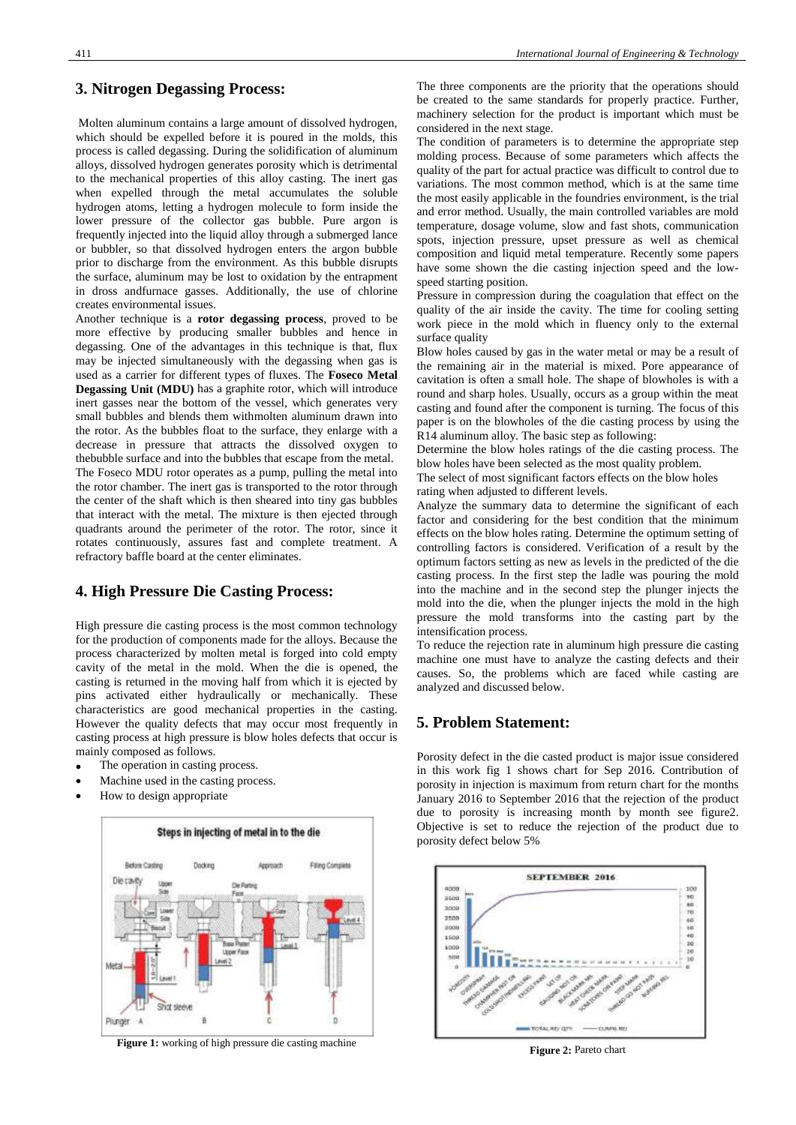## **3. Nitrogen Degassing Process:**

Molten aluminum contains a large amount of dissolved hydrogen, which should be expelled before it is poured in the molds, this process is called degassing. During the solidification of aluminum alloys, dissolved hydrogen generates porosity which is detrimental to the mechanical properties of this alloy casting. The inert gas when expelled through the metal accumulates the soluble hydrogen atoms, letting a hydrogen molecule to form inside the lower pressure of the collector gas bubble. Pure argon is frequently injected into the liquid alloy through a submerged lance or bubbler, so that dissolved hydrogen enters the argon bubble prior to discharge from the environment. As this bubble disrupts the surface, aluminum may be lost to oxidation by the entrapment in dross andfurnace gasses. Additionally, the use of chlorine creates environmental issues.

Another technique is a **rotor degassing process**, proved to be more effective by producing smaller bubbles and hence in degassing. One of the advantages in this technique is that, flux may be injected simultaneously with the degassing when gas is used as a carrier for different types of fluxes. The **Foseco Metal Degassing Unit (MDU)** has a graphite rotor, which will introduce inert gasses near the bottom of the vessel, which generates very small bubbles and blends them withmolten aluminum drawn into the rotor. As the bubbles float to the surface, they enlarge with a decrease in pressure that attracts the dissolved oxygen to thebubble surface and into the bubbles that escape from the metal. The Foseco MDU rotor operates as a pump, pulling the metal into the rotor chamber. The inert gas is transported to the rotor through the center of the shaft which is then sheared into tiny gas bubbles that interact with the metal. The mixture is then ejected through quadrants around the perimeter of the rotor. The rotor, since it rotates continuously, assures fast and complete treatment. A refractory baffle board at the center eliminates.

### **4. High Pressure Die Casting Process:**

High pressure die casting process is the most common technology for the production of components made for the alloys. Because the process characterized by molten metal is forged into cold empty cavity of the metal in the mold. When the die is opened, the casting is returned in the moving half from which it is ejected by pins activated either hydraulically or mechanically. These characteristics are good mechanical properties in the casting. However the quality defects that may occur most frequently in casting process at high pressure is blow holes defects that occur is mainly composed as follows.

- The operation in casting process.
- Machine used in the casting process.
- How to design appropriate



**Figure 1:** working of high pressure die casting machine

The three components are the priority that the operations should be created to the same standards for properly practice. Further, machinery selection for the product is important which must be considered in the next stage.

The condition of parameters is to determine the appropriate step molding process. Because of some parameters which affects the quality of the part for actual practice was difficult to control due to variations. The most common method, which is at the same time the most easily applicable in the foundries environment, is the trial and error method. Usually, the main controlled variables are mold temperature, dosage volume, slow and fast shots, communication spots, injection pressure, upset pressure as well as chemical composition and liquid metal temperature. Recently some papers have some shown the die casting injection speed and the lowspeed starting position.

Pressure in compression during the coagulation that effect on the quality of the air inside the cavity. The time for cooling setting work piece in the mold which in fluency only to the external surface quality

Blow holes caused by gas in the water metal or may be a result of the remaining air in the material is mixed. Pore appearance of cavitation is often a small hole. The shape of blowholes is with a round and sharp holes. Usually, occurs as a group within the meat casting and found after the component is turning. The focus of this paper is on the blowholes of the die casting process by using the R14 aluminum alloy. The basic step as following:

Determine the blow holes ratings of the die casting process. The blow holes have been selected as the most quality problem.

The select of most significant factors effects on the blow holes rating when adjusted to different levels.

Analyze the summary data to determine the significant of each factor and considering for the best condition that the minimum effects on the blow holes rating. Determine the optimum setting of controlling factors is considered. Verification of a result by the optimum factors setting as new as levels in the predicted of the die casting process. In the first step the ladle was pouring the mold into the machine and in the second step the plunger injects the mold into the die, when the plunger injects the mold in the high pressure the mold transforms into the casting part by the intensification process.

To reduce the rejection rate in aluminum high pressure die casting machine one must have to analyze the casting defects and their causes. So, the problems which are faced while casting are analyzed and discussed below.

## **5. Problem Statement:**

Porosity defect in the die casted product is major issue considered in this work fig 1 shows chart for Sep 2016. Contribution of porosity in injection is maximum from return chart for the months January 2016 to September 2016 that the rejection of the product due to porosity is increasing month by month see figure2. Objective is set to reduce the rejection of the product due to porosity defect below 5%



**Figure 2:** Pareto chart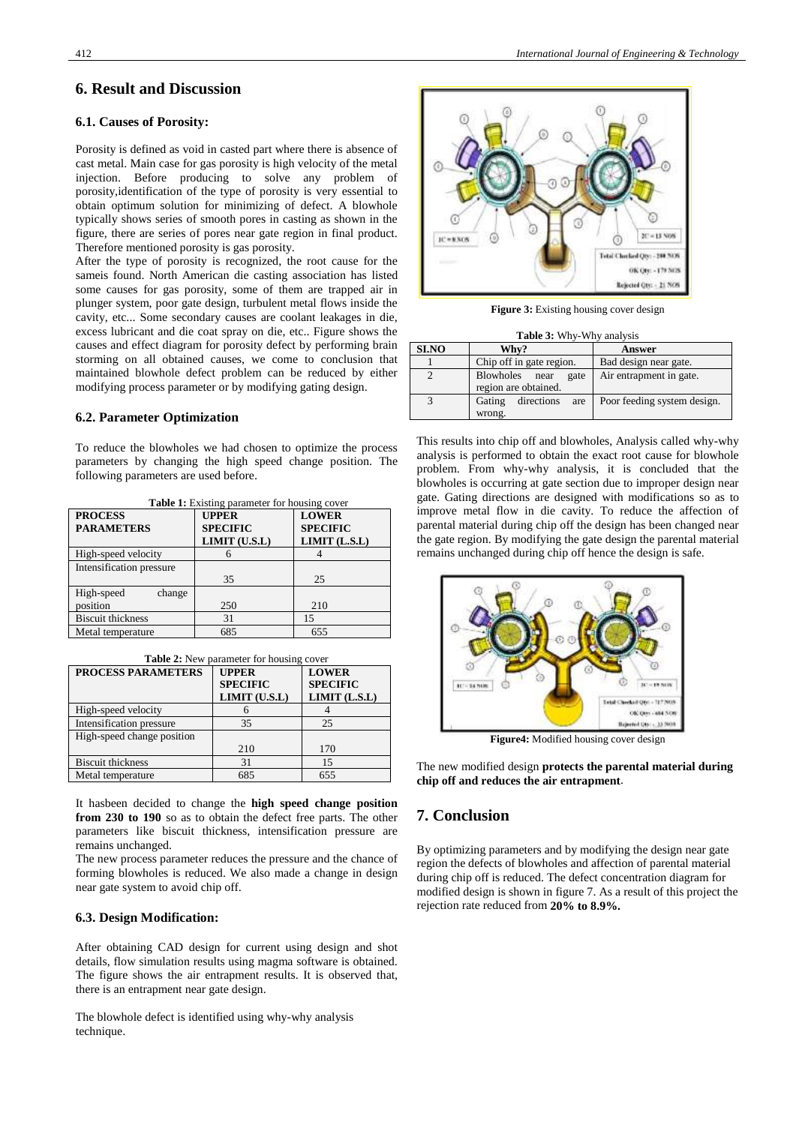## **6. Result and Discussion**

#### **6.1. Causes of Porosity:**

Porosity is defined as void in casted part where there is absence of cast metal. Main case for gas porosity is high velocity of the metal injection. Before producing to solve any problem of porosity,identification of the type of porosity is very essential to obtain optimum solution for minimizing of defect. A blowhole typically shows series of smooth pores in casting as shown in the figure, there are series of pores near gate region in final product. Therefore mentioned porosity is gas porosity.

After the type of porosity is recognized, the root cause for the sameis found. North American die casting association has listed some causes for gas porosity, some of them are trapped air in plunger system, poor gate design, turbulent metal flows inside the cavity, etc... Some secondary causes are coolant leakages in die, excess lubricant and die coat spray on die, etc.. Figure shows the causes and effect diagram for porosity defect by performing brain storming on all obtained causes, we come to conclusion that maintained blowhole defect problem can be reduced by either modifying process parameter or by modifying gating design.

#### **6.2. Parameter Optimization**

To reduce the blowholes we had chosen to optimize the process parameters by changing the high speed change position. The following parameters are used before.

| <b>Table 1:</b> Existing parameter for housing cover |                                                  |                                                      |  |
|------------------------------------------------------|--------------------------------------------------|------------------------------------------------------|--|
| <b>PROCESS</b><br><b>PARAMETERS</b>                  | <b>UPPER</b><br><b>SPECIFIC</b><br>LIMIT (U.S.L) | <b>LOWER</b><br><b>SPECIFIC</b><br>$LIMIT$ $(L.S.L)$ |  |
| High-speed velocity                                  |                                                  |                                                      |  |
| Intensification pressure                             | 35                                               | 25                                                   |  |
| High-speed<br>change<br>position                     | 250                                              | 210                                                  |  |
| <b>Biscuit thickness</b>                             | 31                                               | 15                                                   |  |
| Metal temperature                                    | 685                                              | 655                                                  |  |

|  | <b>Table 2:</b> New parameter for housing cover |
|--|-------------------------------------------------|
|--|-------------------------------------------------|

| <b>PROCESS PARAMETERS</b>  | <b>UPPER</b><br><b>SPECIFIC</b><br>LIMIT (U.S.L) | <b>LOWER</b><br><b>SPECIFIC</b><br>$LIMIT$ $(L.S.L)$ |
|----------------------------|--------------------------------------------------|------------------------------------------------------|
| High-speed velocity        |                                                  |                                                      |
| Intensification pressure   | 35                                               | 25                                                   |
| High-speed change position |                                                  |                                                      |
|                            | 210                                              | 170                                                  |
| <b>Biscuit thickness</b>   | 31                                               | 15                                                   |
| Metal temperature          | 685                                              | 655                                                  |

It hasbeen decided to change the **high speed change position from 230 to 190** so as to obtain the defect free parts. The other parameters like biscuit thickness, intensification pressure are remains unchanged.

The new process parameter reduces the pressure and the chance of forming blowholes is reduced. We also made a change in design near gate system to avoid chip off.

## **6.3. Design Modification:**

After obtaining CAD design for current using design and shot details, flow simulation results using magma software is obtained. The figure shows the air entrapment results. It is observed that, there is an entrapment near gate design.

The blowhole defect is identified using why-why analysis technique.



**Figure 3:** Existing housing cover design

| Table 3: Why-Why analysis |  |  |  |
|---------------------------|--|--|--|
|---------------------------|--|--|--|

| <b>SI.NO</b> | Whv?                                              | Answer                      |
|--------------|---------------------------------------------------|-----------------------------|
|              | Chip off in gate region.                          | Bad design near gate.       |
|              | Blowholes<br>near<br>gate<br>region are obtained. | Air entrapment in gate.     |
|              | directions<br>Gating<br>are<br>wrong.             | Poor feeding system design. |

This results into chip off and blowholes, Analysis called why-why analysis is performed to obtain the exact root cause for blowhole problem. From why-why analysis, it is concluded that the blowholes is occurring at gate section due to improper design near gate. Gating directions are designed with modifications so as to improve metal flow in die cavity. To reduce the affection of parental material during chip off the design has been changed near the gate region. By modifying the gate design the parental material remains unchanged during chip off hence the design is safe.



**Figure4:** Modified housing cover design

The new modified design **protects the parental material during chip off and reduces the air entrapment**.

## **7. Conclusion**

By optimizing parameters and by modifying the design near gate region the defects of blowholes and affection of parental material during chip off is reduced. The defect concentration diagram for modified design is shown in figure 7. As a result of this project the rejection rate reduced from **20% to 8.9%.**